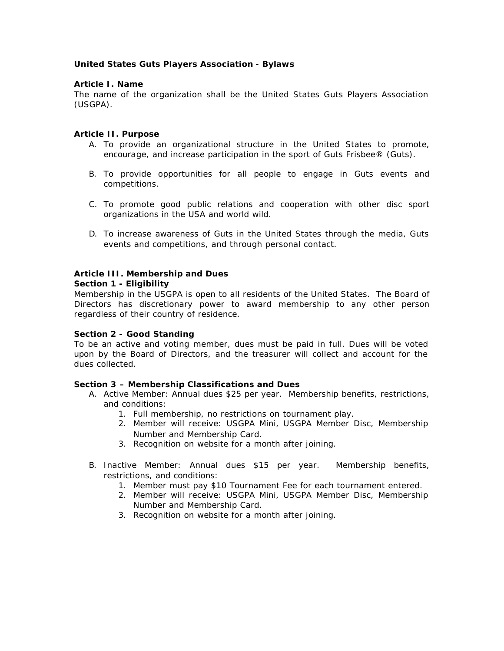## **United States Guts Players Association - Bylaws**

#### **Article I. Name**

The name of the organization shall be the United States Guts Players Association (USGPA).

## **Article II. Purpose**

- A. To provide an organizational structure in the United States to promote, encourage, and increase participation in the sport of Guts Frisbee® (Guts).
- B. To provide opportunities for all people to engage in Guts events and competitions.
- C. To promote good public relations and cooperation with other disc sport organizations in the USA and world wild.
- D. To increase awareness of Guts in the United States through the media, Guts events and competitions, and through personal contact.

#### **Article III. Membership and Dues Section 1 - Eligibility**

# Membership in the USGPA is open to all residents of the United States. The Board of

Directors has discretionary power to award membership to any other person regardless of their country of residence.

# **Section 2 - Good Standing**

To be an active and voting member, dues must be paid in full. Dues will be voted upon by the Board of Directors, and the treasurer will collect and account for the dues collected.

#### **Section 3 – Membership Classifications and Dues**

- A. Active Member: Annual dues \$25 per year. Membership benefits, restrictions, and conditions:
	- 1. Full membership, no restrictions on tournament play.
	- 2. Member will receive: USGPA Mini, USGPA Member Disc, Membership Number and Membership Card.
	- 3. Recognition on website for a month after joining.
- B. Inactive Member: Annual dues \$15 per year. Membership benefits, restrictions, and conditions:
	- 1. Member must pay \$10 Tournament Fee for each tournament entered.
	- 2. Member will receive: USGPA Mini, USGPA Member Disc, Membership Number and Membership Card.
	- 3. Recognition on website for a month after joining.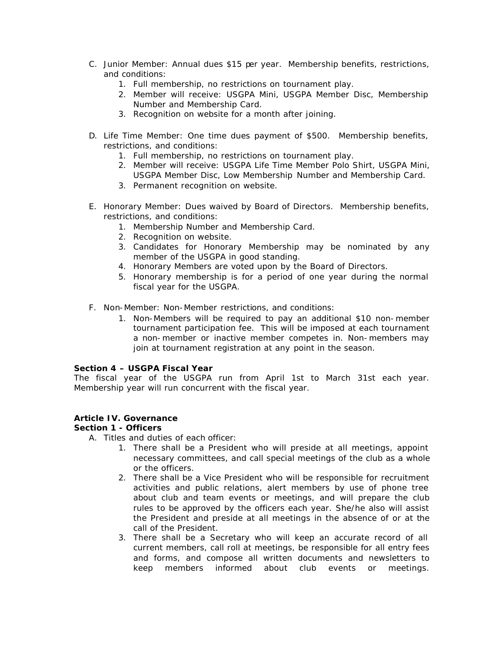- C. Junior Member: Annual dues \$15 per year. Membership benefits, restrictions, and conditions:
	- 1. Full membership, no restrictions on tournament play.
	- 2. Member will receive: USGPA Mini, USGPA Member Disc, Membership Number and Membership Card.
	- 3. Recognition on website for a month after joining.
- D. Life Time Member: One time dues payment of \$500. Membership benefits, restrictions, and conditions:
	- 1. Full membership, no restrictions on tournament play.
	- 2. Member will receive: USGPA Life Time Member Polo Shirt, USGPA Mini, USGPA Member Disc, Low Membership Number and Membership Card.
	- 3. Permanent recognition on website.
- E. Honorary Member: Dues waived by Board of Directors. Membership benefits, restrictions, and conditions:
	- 1. Membership Number and Membership Card.
	- 2. Recognition on website.
	- 3. Candidates for Honorary Membership may be nominated by any member of the USGPA in good standing.
	- 4. Honorary Members are voted upon by the Board of Directors.
	- 5. Honorary membership is for a period of one year during the normal fiscal year for the USGPA.
- F. Non-Member: Non-Member restrictions, and conditions:
	- 1. Non-Members will be required to pay an additional \$10 non-member tournament participation fee. This will be imposed at each tournament a non-member or inactive member competes in. Non-members may join at tournament registration at any point in the season.

# **Section 4 – USGPA Fiscal Year**

The fiscal year of the USGPA run from April 1st to March 31st each year. Membership year will run concurrent with the fiscal year.

# **Article IV. Governance**

# **Section 1 - Officers**

- A. Titles and duties of each officer:
	- 1. There shall be a President who will preside at all meetings, appoint necessary committees, and call special meetings of the club as a whole or the officers.
	- 2. There shall be a Vice President who will be responsible for recruitment activities and public relations, alert members by use of phone tree about club and team events or meetings, and will prepare the club rules to be approved by the officers each year. She/he also will assist the President and preside at all meetings in the absence of or at the call of the President.
	- 3. There shall be a Secretary who will keep an accurate record of all current members, call roll at meetings, be responsible for all entry fees and forms, and compose all written documents and newsletters to keep members informed about club events or meetings.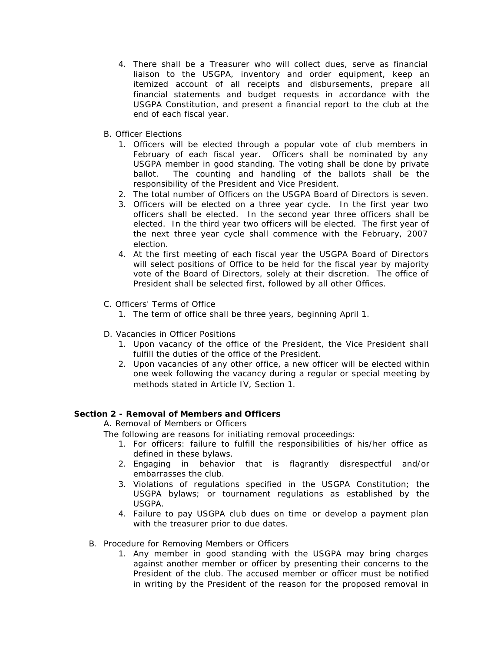- 4. There shall be a Treasurer who will collect dues, serve as financial liaison to the USGPA, inventory and order equipment, keep an itemized account of all receipts and disbursements, prepare all financial statements and budget requests in accordance with the USGPA Constitution, and present a financial report to the club at the end of each fiscal year.
- B. Officer Elections
	- 1. Officers will be elected through a popular vote of club members in February of each fiscal year. Officers shall be nominated by any USGPA member in good standing. The voting shall be done by private ballot. The counting and handling of the ballots shall be the responsibility of the President and Vice President.
	- 2. The total number of Officers on the USGPA Board of Directors is seven.
	- 3. Officers will be elected on a three year cycle. In the first year two officers shall be elected. In the second year three officers shall be elected. In the third year two officers will be elected. The first year of the next three year cycle shall commence with the February, 2007 election.
	- 4. At the first meeting of each fiscal year the USGPA Board of Directors will select positions of Office to be held for the fiscal year by majority vote of the Board of Directors, solely at their discretion. The office of President shall be selected first, followed by all other Offices.
- C. Officers' Terms of Office
	- 1. The term of office shall be three years, beginning April 1.
- D. Vacancies in Officer Positions
	- 1. Upon vacancy of the office of the President, the Vice President shall fulfill the duties of the office of the President.
	- 2. Upon vacancies of any other office, a new officer will be elected within one week following the vacancy during a regular or special meeting by methods stated in Article IV, Section 1.

# **Section 2 - Removal of Members and Officers**

A. Removal of Members or Officers

The following are reasons for initiating removal proceedings:

- 1. For officers: failure to fulfill the responsibilities of his/her office as defined in these bylaws.
- 2. Engaging in behavior that is flagrantly disrespectful and/or embarrasses the club.
- 3. Violations of regulations specified in the USGPA Constitution; the USGPA bylaws; or tournament regulations as established by the USGPA.
- 4. Failure to pay USGPA club dues on time or develop a payment plan with the treasurer prior to due dates.
- B. Procedure for Removing Members or Officers
	- 1. Any member in good standing with the USGPA may bring charges against another member or officer by presenting their concerns to the President of the club. The accused member or officer must be notified in writing by the President of the reason for the proposed removal in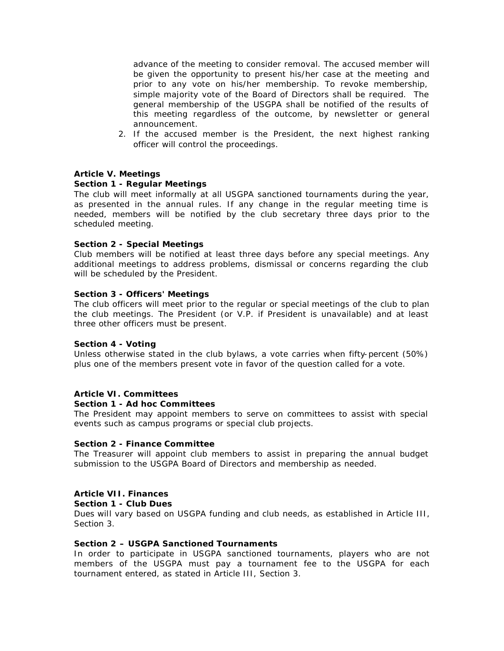advance of the meeting to consider removal. The accused member will be given the opportunity to present his/her case at the meeting and prior to any vote on his/her membership. To revoke membership, simple majority vote of the Board of Directors shall be required. The general membership of the USGPA shall be notified of the results of this meeting regardless of the outcome, by newsletter or general announcement.

2. If the accused member is the President, the next highest ranking officer will control the proceedings.

# **Article V. Meetings**

# **Section 1 - Regular Meetings**

The club will meet informally at all USGPA sanctioned tournaments during the year, as presented in the annual rules. If any change in the regular meeting time is needed, members will be notified by the club secretary three days prior to the scheduled meeting.

#### **Section 2 - Special Meetings**

Club members will be notified at least three days before any special meetings. Any additional meetings to address problems, dismissal or concerns regarding the club will be scheduled by the President.

#### **Section 3 - Officers' Meetings**

The club officers will meet prior to the regular or special meetings of the club to plan the club meetings. The President (or V.P. if President is unavailable) and at least three other officers must be present.

#### **Section 4 - Voting**

Unless otherwise stated in the club bylaws, a vote carries when fifty-percent (50%) plus one of the members present vote in favor of the question called for a vote.

# **Article VI. Committees**

#### **Section 1 - Ad hoc Committees**

The President may appoint members to serve on committees to assist with special events such as campus programs or special club projects.

#### **Section 2 - Finance Committee**

The Treasurer will appoint club members to assist in preparing the annual budget submission to the USGPA Board of Directors and membership as needed.

# **Article VII. Finances**

#### **Section 1 - Club Dues**

Dues will vary based on USGPA funding and club needs, as established in Article III, Section 3.

#### **Section 2 – USGPA Sanctioned Tournaments**

In order to participate in USGPA sanctioned tournaments, players who are not members of the USGPA must pay a tournament fee to the USGPA for each tournament entered, as stated in Article III, Section 3.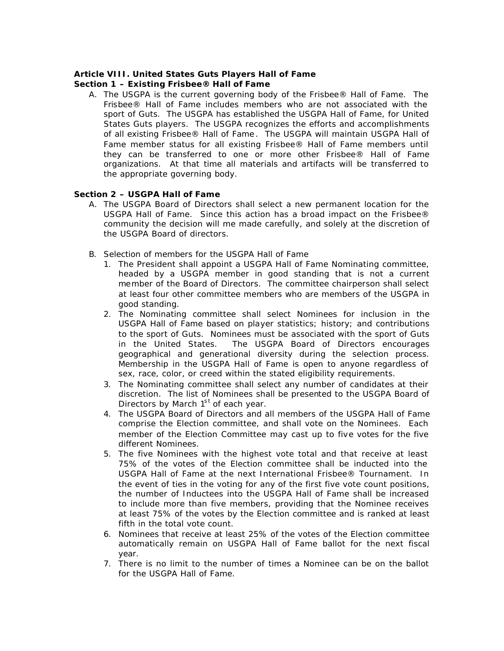# **Article VIII. United States Guts Players Hall of Fame**

# **Section 1 – Existing Frisbee® Hall of Fame**

A. The USGPA is the current governing body of the Frisbee® Hall of Fame. The Frisbee® Hall of Fame includes members who are not associated with the sport of Guts. The USGPA has established the USGPA Hall of Fame, for United States Guts players. The USGPA recognizes the efforts and accomplishments of all existing Frisbee® Hall of Fame . The USGPA will maintain USGPA Hall of Fame member status for all existing Frisbee® Hall of Fame members until they can be transferred to one or more other Frisbee® Hall of Fame organizations. At that time all materials and artifacts will be transferred to the appropriate governing body.

# **Section 2 – USGPA Hall of Fame**

- A. The USGPA Board of Directors shall select a new permanent location for the USGPA Hall of Fame. Since this action has a broad impact on the Frisbee® community the decision will me made carefully, and solely at the discretion of the USGPA Board of directors.
- B. Selection of members for the USGPA Hall of Fame
	- 1. The President shall appoint a USGPA Hall of Fame Nominating committee, headed by a USGPA member in good standing that is not a current member of the Board of Directors. The committee chairperson shall select at least four other committee members who are members of the USGPA in good standing.
	- 2. The Nominating committee shall select Nominees for inclusion in the USGPA Hall of Fame based on player statistics; history; and contributions to the sport of Guts. Nominees must be associated with the sport of Guts in the United States. The USGPA Board of Directors encourages geographical and generational diversity during the selection process. Membership in the USGPA Hall of Fame is open to anyone regardless of sex, race, color, or creed within the stated eligibility requirements.
	- 3. The Nominating committee shall select any number of candidates at their discretion. The list of Nominees shall be presented to the USGPA Board of Directors by March  $1<sup>st</sup>$  of each year.
	- 4. The USGPA Board of Directors and all members of the USGPA Hall of Fame comprise the Election committee, and shall vote on the Nominees. Each member of the Election Committee may cast up to five votes for the five different Nominees.
	- 5. The five Nominees with the highest vote total and that receive at least 75% of the votes of the Election committee shall be inducted into the USGPA Hall of Fame at the next International Frisbee® Tournament. In the event of ties in the voting for any of the first five vote count positions, the number of Inductees into the USGPA Hall of Fame shall be increased to include more than five members, providing that the Nominee receives at least 75% of the votes by the Election committee and is ranked at least fifth in the total vote count.
	- 6. Nominees that receive at least 25% of the votes of the Election committee automatically remain on USGPA Hall of Fame ballot for the next fiscal year.
	- 7. There is no limit to the number of times a Nominee can be on the ballot for the USGPA Hall of Fame.